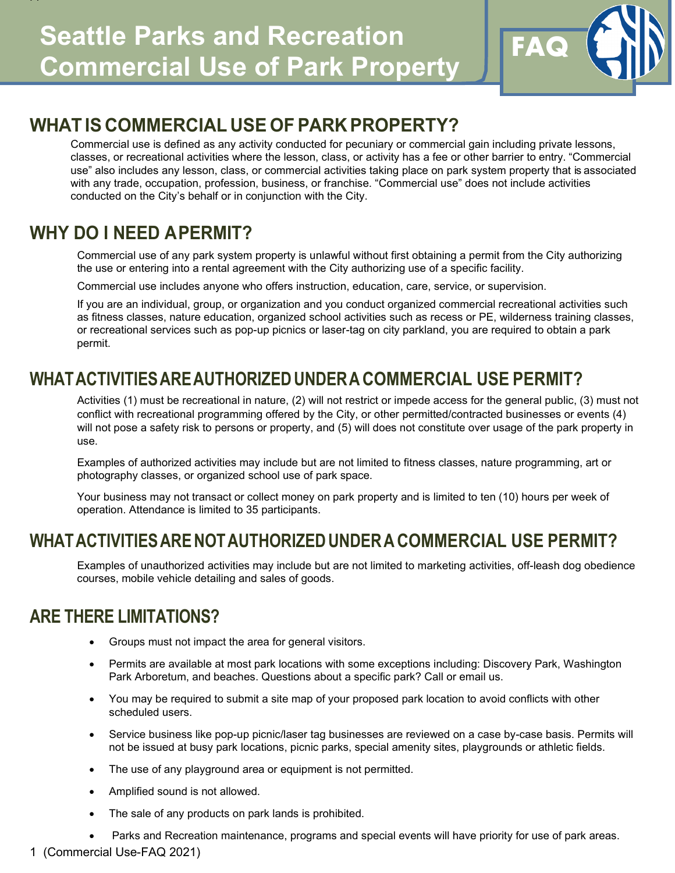

## **WHAT IS COMMERCIAL USE OF PARK PROPERTY?**

Commercial use is defined as any activity conducted for pecuniary or commercial gain including private lessons, classes, or recreational activities where the lesson, class, or activity has a fee or other barrier to entry. "Commercial use" also includes any lesson, class, or commercial activities taking place on park system property that is associated with any trade, occupation, profession, business, or franchise. "Commercial use" does not include activities conducted on the City's behalf or in conjunction with the City.

### **WHY DO I NEED APERMIT?**

FF

Commercial use of any park system property is unlawful without first obtaining a permit from the City authorizing the use or entering into a rental agreement with the City authorizing use of a specific facility.

Commercial use includes anyone who offers instruction, education, care, service, or supervision.

If you are an individual, group, or organization and you conduct organized commercial recreational activities such as fitness classes, nature education, organized school activities such as recess or PE, wilderness training classes, or recreational services such as pop-up picnics or laser-tag on city parkland, you are required to obtain a park permit.

### **WHATACTIVITIESAREAUTHORIZED UNDERA COMMERCIAL USE PERMIT?**

Activities (1) must be recreational in nature, (2) will not restrict or impede access for the general public, (3) must not conflict with recreational programming offered by the City, or other permitted/contracted businesses or events (4) will not pose a safety risk to persons or property, and (5) will does not constitute over usage of the park property in use.

Examples of authorized activities may include but are not limited to fitness classes, nature programming, art or photography classes, or organized school use of park space.

Your business may not transact or collect money on park property and is limited to ten (10) hours per week of operation. Attendance is limited to 35 participants.

#### **WHAT ACTIVITIESARE NOTAUTHORIZED UNDERA COMMERCIAL USE PERMIT?**

Examples of unauthorized activities may include but are not limited to marketing activities, off-leash dog obedience courses, mobile vehicle detailing and sales of goods.

#### **ARE THERE LIMITATIONS?**

- Groups must not impact the area for general visitors.
- Permits are available at most park locations with some exceptions including: Discovery Park, Washington Park Arboretum, and beaches. Questions about a specific park? Call or email us.
- You may be required to submit a site map of your proposed park location to avoid conflicts with other scheduled users.
- Service business like pop-up picnic/laser tag businesses are reviewed on a case by-case basis. Permits will not be issued at busy park locations, picnic parks, special amenity sites, playgrounds or athletic fields.
- The use of any playground area or equipment is not permitted.
- Amplified sound is not allowed.
- The sale of any products on park lands is prohibited.
- Parks and Recreation maintenance, programs and special events will have priority for use of park areas.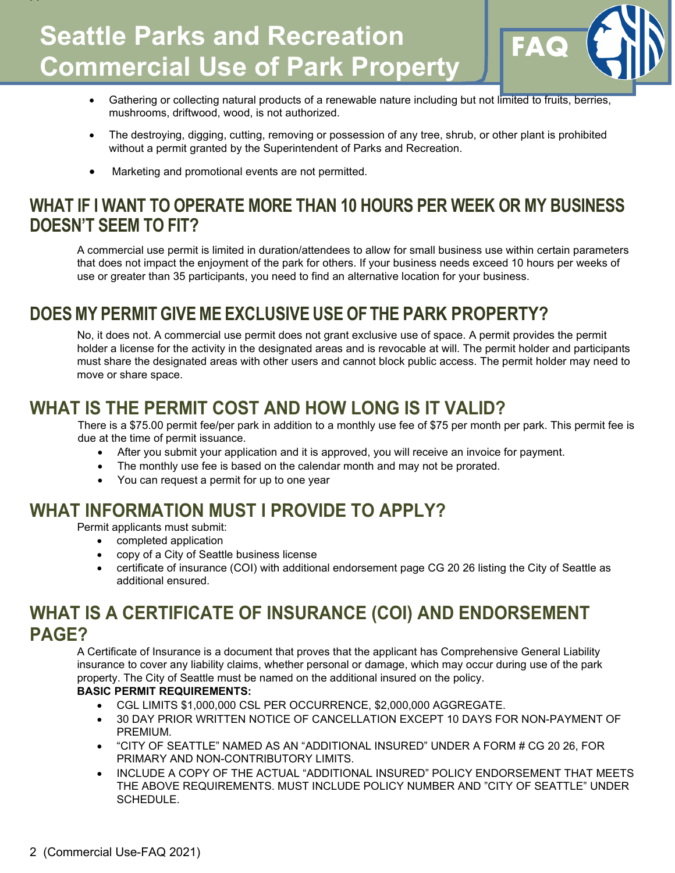# **Seattle Parks and Recreation | FAQ Commercial Use of Park Property**



- Gathering or collecting natural products of a renewable nature including but not limited to fruits, berries, mushrooms, driftwood, wood, is not authorized.
- The destroying, digging, cutting, removing or possession of any tree, shrub, or other plant is prohibited without a permit granted by the Superintendent of Parks and Recreation.
- Marketing and promotional events are not permitted.

#### **WHAT IF I WANT TO OPERATE MORE THAN 10 HOURS PER WEEK OR MY BUSINESS DOESN'T SEEM TO FIT?**

A commercial use permit is limited in duration/attendees to allow for small business use within certain parameters that does not impact the enjoyment of the park for others. If your business needs exceed 10 hours per weeks of use or greater than 35 participants, you need to find an alternative location for your business.

#### **DOES MY PERMIT GIVE ME EXCLUSIVE USE OF THE PARK PROPERTY?**

No, it does not. A commercial use permit does not grant exclusive use of space. A permit provides the permit holder a license for the activity in the designated areas and is revocable at will. The permit holder and participants must share the designated areas with other users and cannot block public access. The permit holder may need to move or share space.

#### **WHAT IS THE PERMIT COST AND HOW LONG IS IT VALID?**

There is a \$75.00 permit fee/per park in addition to a monthly use fee of \$75 per month per park. This permit fee is due at the time of permit issuance.

- After you submit your application and it is approved, you will receive an invoice for payment.
- The monthly use fee is based on the calendar month and may not be prorated.
- You can request a permit for up to one year

#### **WHAT INFORMATION MUST I PROVIDE TO APPLY?**

Permit applicants must submit:

FF

- completed application
- copy of a City of Seattle business license
- certificate of insurance (COI) with additional endorsement page CG 20 26 listing the City of Seattle as additional ensured.

#### **WHAT IS A CERTIFICATE OF INSURANCE (COI) AND ENDORSEMENT PAGE?**

A Certificate of Insurance is a document that proves that the applicant has Comprehensive General Liability insurance to cover any liability claims, whether personal or damage, which may occur during use of the park property. The City of Seattle must be named on the additional insured on the policy.

#### **BASIC PERMIT REQUIREMENTS:**

- CGL LIMITS \$1,000,000 CSL PER OCCURRENCE, \$2,000,000 AGGREGATE.
- 30 DAY PRIOR WRITTEN NOTICE OF CANCELLATION EXCEPT 10 DAYS FOR NON-PAYMENT OF PREMIUM.
- "CITY OF SEATTLE" NAMED AS AN "ADDITIONAL INSURED" UNDER A FORM # CG 20 26, FOR PRIMARY AND NON-CONTRIBUTORY LIMITS.
- INCLUDE A COPY OF THE ACTUAL "ADDITIONAL INSURED" POLICY ENDORSEMENT THAT MEETS THE ABOVE REQUIREMENTS. MUST INCLUDE POLICY NUMBER AND "CITY OF SEATTLE" UNDER SCHEDULE.